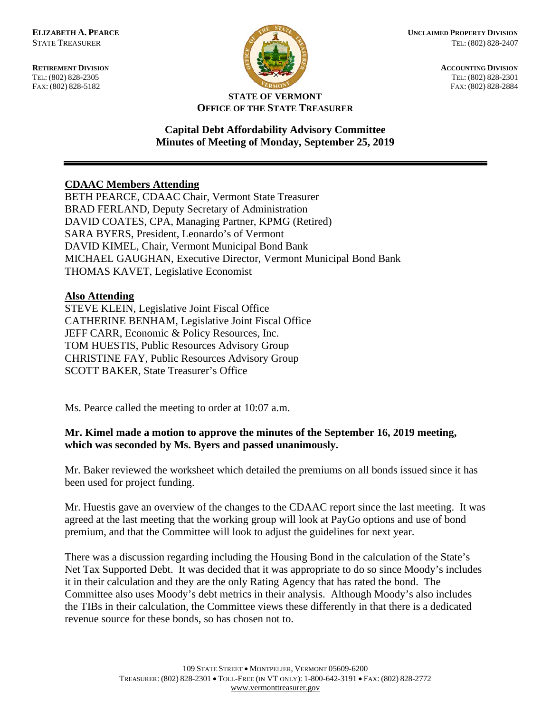FAX: (802) 828-5182



**RETIREMENT DIVISION ACCOUNTING DIVISION** TEL: (802) 828-2305<br>
FAX: (802) 828-2305<br>
FAX: (802) 828-2884<br>
TEL: (802) 828-2884

#### **STATE OF VERMONT OFFICE OF THE STATE TREASURER**

#### **Capital Debt Affordability Advisory Committee Minutes of Meeting of Monday, September 25, 2019**

# **CDAAC Members Attending**

BETH PEARCE, CDAAC Chair, Vermont State Treasurer BRAD FERLAND, Deputy Secretary of Administration DAVID COATES, CPA, Managing Partner, KPMG (Retired) SARA BYERS, President, Leonardo's of Vermont DAVID KIMEL, Chair, Vermont Municipal Bond Bank MICHAEL GAUGHAN, Executive Director, Vermont Municipal Bond Bank THOMAS KAVET, Legislative Economist

# **Also Attending**

STEVE KLEIN, Legislative Joint Fiscal Office CATHERINE BENHAM, Legislative Joint Fiscal Office JEFF CARR, Economic & Policy Resources, Inc. TOM HUESTIS, Public Resources Advisory Group CHRISTINE FAY, Public Resources Advisory Group SCOTT BAKER, State Treasurer's Office

Ms. Pearce called the meeting to order at 10:07 a.m.

# **Mr. Kimel made a motion to approve the minutes of the September 16, 2019 meeting, which was seconded by Ms. Byers and passed unanimously.**

Mr. Baker reviewed the worksheet which detailed the premiums on all bonds issued since it has been used for project funding.

Mr. Huestis gave an overview of the changes to the CDAAC report since the last meeting. It was agreed at the last meeting that the working group will look at PayGo options and use of bond premium, and that the Committee will look to adjust the guidelines for next year.

There was a discussion regarding including the Housing Bond in the calculation of the State's Net Tax Supported Debt. It was decided that it was appropriate to do so since Moody's includes it in their calculation and they are the only Rating Agency that has rated the bond. The Committee also uses Moody's debt metrics in their analysis. Although Moody's also includes the TIBs in their calculation, the Committee views these differently in that there is a dedicated revenue source for these bonds, so has chosen not to.